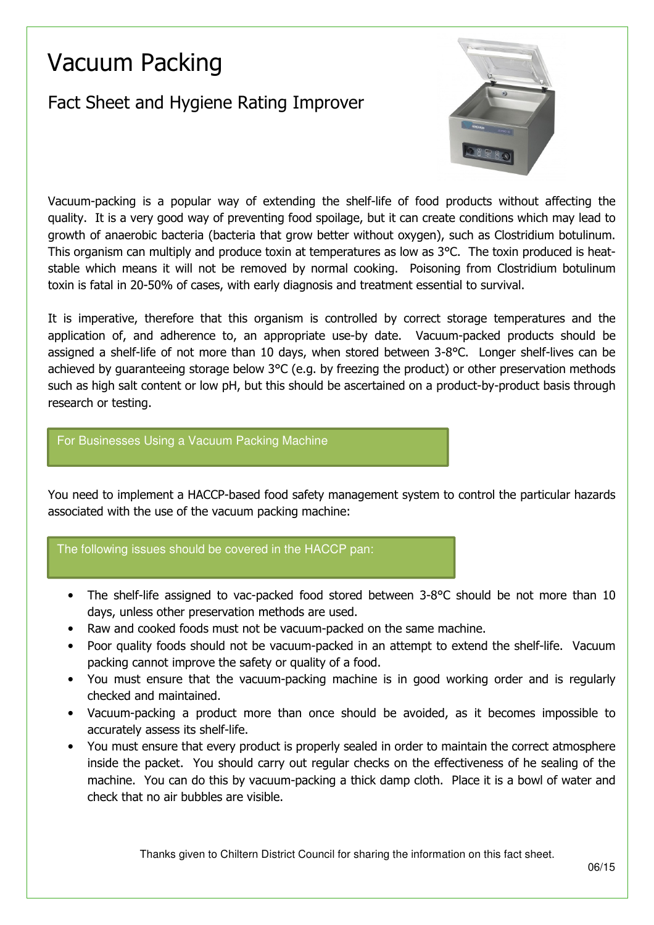# Vacuum Packing

## Fact Sheet and Hygiene Rating Improver



Vacuum-packing is a popular way of extending the shelf-life of food products without affecting the quality. It is a very good way of preventing food spoilage, but it can create conditions which may lead to growth of anaerobic bacteria (bacteria that grow better without oxygen), such as Clostridium botulinum. This organism can multiply and produce toxin at temperatures as low as 3°C. The toxin produced is heatstable which means it will not be removed by normal cooking. Poisoning from Clostridium botulinum toxin is fatal in 20-50% of cases, with early diagnosis and treatment essential to survival.

It is imperative, therefore that this organism is controlled by correct storage temperatures and the application of, and adherence to, an appropriate use-by date. Vacuum-packed products should be assigned a shelf-life of not more than 10 days, when stored between 3-8°C. Longer shelf-lives can be achieved by guaranteeing storage below 3°C (e.g. by freezing the product) or other preservation methods such as high salt content or low pH, but this should be ascertained on a product-by-product basis through research or testing.

#### For Businesses Using a Vacuum Packing Machine

You need to implement a HACCP-based food safety management system to control the particular hazards associated with the use of the vacuum packing machine:

### The following issues should be covered in the HACCP pan:

- The shelf-life assigned to vac-packed food stored between 3-8°C should be not more than 10 days, unless other preservation methods are used.
- Raw and cooked foods must not be vacuum-packed on the same machine.
- Poor quality foods should not be vacuum-packed in an attempt to extend the shelf-life. Vacuum packing cannot improve the safety or quality of a food.
- You must ensure that the vacuum-packing machine is in good working order and is regularly checked and maintained.
- Vacuum-packing a product more than once should be avoided, as it becomes impossible to accurately assess its shelf-life.
- You must ensure that every product is properly sealed in order to maintain the correct atmosphere inside the packet. You should carry out regular checks on the effectiveness of he sealing of the machine. You can do this by vacuum-packing a thick damp cloth. Place it is a bowl of water and check that no air bubbles are visible.

Thanks given to Chiltern District Council for sharing the information on this fact sheet.